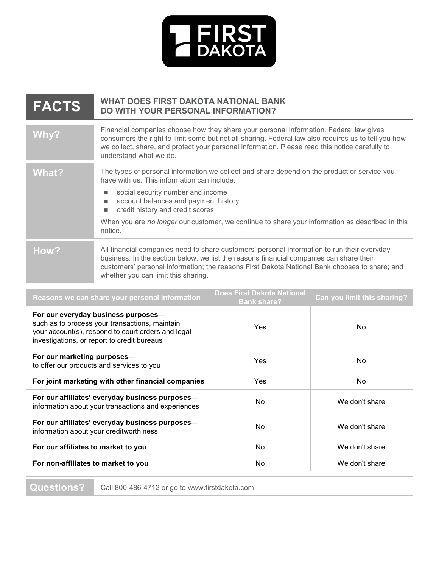

| <b>FACTS</b> | <b>WHAT DOES FIRST DAKOTA NATIONAL BANK</b><br>DO WITH YOUR PERSONAL INFORMATION?                                                                                                                                                                                                                                                                                         |
|--------------|---------------------------------------------------------------------------------------------------------------------------------------------------------------------------------------------------------------------------------------------------------------------------------------------------------------------------------------------------------------------------|
| Why?         | Financial companies choose how they share your personal information. Federal law gives<br>consumers the right to limit some but not all sharing. Federal law also requires us to tell you how<br>we collect, share, and protect your personal information. Please read this notice carefully to<br>understand what we do.                                                 |
| What?        | The types of personal information we collect and share depend on the product or service you<br>have with us. This information can include:<br>social security number and income<br>account balances and payment history<br>credit history and credit scores<br>When you are no longer our customer, we continue to share your information as described in this<br>notice. |
| How?         | All financial companies need to share customers' personal information to run their everyday<br>business. In the section below, we list the reasons financial companies can share their<br>customers' personal information; the reasons First Dakota National Bank chooses to share; and<br>whether you can limit this sharing.                                            |

| For our everyday business purposes-<br>such as to process your transactions, maintain<br>Yes<br>No<br>your account(s), respond to court orders and legal<br>investigations, or report to credit bureaus<br>For our marketing purposes-<br><b>Yes</b><br>No.<br>to offer our products and services to you | Reasons we can share your personal information     | <b>Does First Dakota National</b><br><b>Bank share?</b> | Can you limit this sharing? |
|----------------------------------------------------------------------------------------------------------------------------------------------------------------------------------------------------------------------------------------------------------------------------------------------------------|----------------------------------------------------|---------------------------------------------------------|-----------------------------|
|                                                                                                                                                                                                                                                                                                          |                                                    |                                                         |                             |
|                                                                                                                                                                                                                                                                                                          |                                                    |                                                         |                             |
| N <sub>o</sub><br>Yes                                                                                                                                                                                                                                                                                    | For joint marketing with other financial companies |                                                         |                             |
| For our affiliates' everyday business purposes-<br>We don't share<br>N <sub>o</sub><br>information about your transactions and experiences                                                                                                                                                               |                                                    |                                                         |                             |
| For our affiliates' everyday business purposes-<br>N <sub>o</sub><br>We don't share<br>information about your creditworthiness                                                                                                                                                                           |                                                    |                                                         |                             |
| N <sub>o</sub><br>We don't share<br>For our affiliates to market to you                                                                                                                                                                                                                                  |                                                    |                                                         |                             |
| For non-affiliates to market to you<br>No.<br>We don't share                                                                                                                                                                                                                                             |                                                    |                                                         |                             |

**Questions?** Call 800-486-4712 or go to www.firstdakota.com